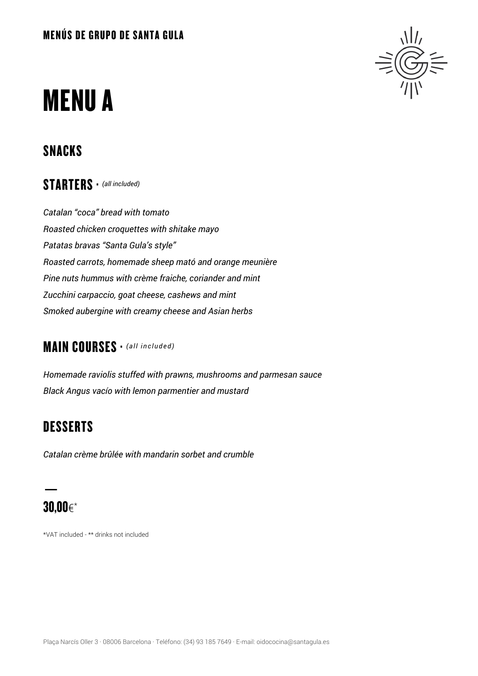# **MENUA**

## SNACKS

STARTERS · *(all included)*

*Catalan "coca" bread with tomato Roasted chicken croquettes with shitake mayo Patatas bravas "Santa Gula's style" Roasted carrots, homemade sheep mató and orange meunière Pine nuts hummus with crème fraiche, coriander and mint Zucchini carpaccio, goat cheese, cashews and mint Smoked aubergine with creamy cheese and Asian herbs*

#### MAIN COURSES · *(all included)*

*Homemade raviolis stuffed with prawns, mushrooms and parmesan sauce Black Angus vacío with lemon parmentier and mustard*

## **DESSERTS**

*Catalan crème brûlée with mandarin sorbet and crumble*

## 30,00€\*

\*VAT included - \*\* drinks not included